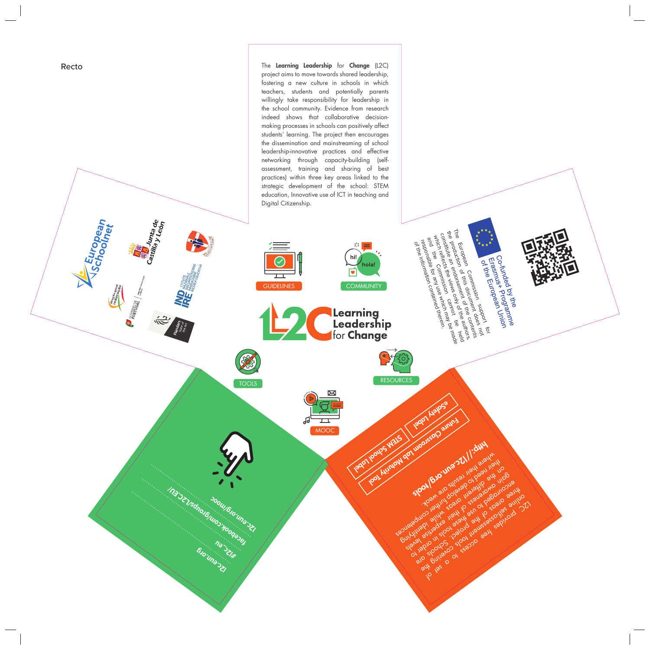